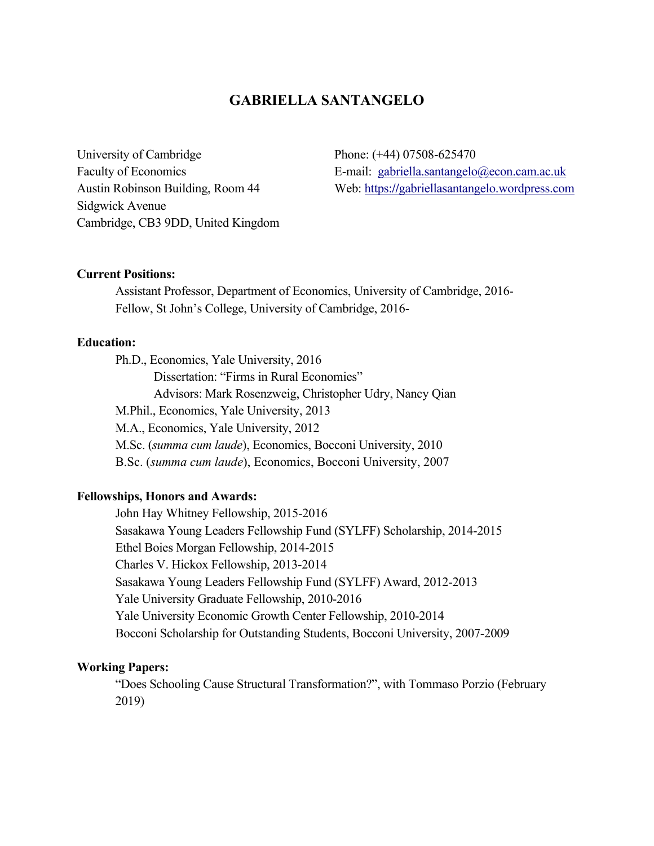# **GABRIELLA SANTANGELO**

University of Cambridge Faculty of Economics Austin Robinson Building, Room 44 Sidgwick Avenue Cambridge, CB3 9DD, United Kingdom Phone: (+44) 07508-625470 E-mail: gabriella.santangelo@econ.cam.ac.uk Web: https:**//**gabriellasantangelo.wordpress.com

#### **Current Positions:**

Assistant Professor, Department of Economics, University of Cambridge, 2016- Fellow, St John's College, University of Cambridge, 2016-

# **Education:**

Ph.D., Economics, Yale University, 2016 Dissertation: "Firms in Rural Economies" Advisors: Mark Rosenzweig, Christopher Udry, Nancy Qian M.Phil., Economics, Yale University, 2013 M.A., Economics, Yale University, 2012 M.Sc. (*summa cum laude*), Economics, Bocconi University, 2010 B.Sc. (*summa cum laude*), Economics, Bocconi University, 2007

### **Fellowships, Honors and Awards:**

John Hay Whitney Fellowship, 2015-2016 Sasakawa Young Leaders Fellowship Fund (SYLFF) Scholarship, 2014-2015 Ethel Boies Morgan Fellowship, 2014-2015 Charles V. Hickox Fellowship, 2013-2014 Sasakawa Young Leaders Fellowship Fund (SYLFF) Award, 2012-2013 Yale University Graduate Fellowship, 2010-2016 Yale University Economic Growth Center Fellowship, 2010-2014 Bocconi Scholarship for Outstanding Students, Bocconi University, 2007-2009

### **Working Papers:**

"Does Schooling Cause Structural Transformation?", with Tommaso Porzio (February 2019)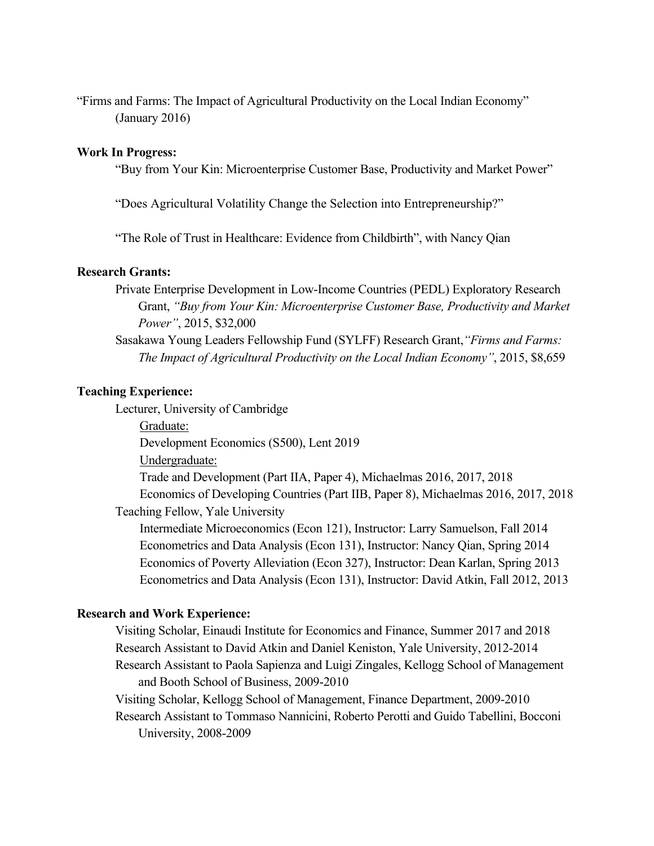"Firms and Farms: The Impact of Agricultural Productivity on the Local Indian Economy" (January 2016)

### **Work In Progress:**

"Buy from Your Kin: Microenterprise Customer Base, Productivity and Market Power"

"Does Agricultural Volatility Change the Selection into Entrepreneurship?"

"The Role of Trust in Healthcare: Evidence from Childbirth", with Nancy Qian

#### **Research Grants:**

Private Enterprise Development in Low-Income Countries (PEDL) Exploratory Research Grant, *"Buy from Your Kin: Microenterprise Customer Base, Productivity and Market Power"*, 2015, \$32,000

Sasakawa Young Leaders Fellowship Fund (SYLFF) Research Grant,*"Firms and Farms: The Impact of Agricultural Productivity on the Local Indian Economy"*, 2015, \$8,659

#### **Teaching Experience:**

Lecturer, University of Cambridge

Graduate:

Development Economics (S500), Lent 2019

Undergraduate:

 Trade and Development (Part IIA, Paper 4), Michaelmas 2016, 2017, 2018 Economics of Developing Countries (Part IIB, Paper 8), Michaelmas 2016, 2017, 2018

Teaching Fellow, Yale University

 Intermediate Microeconomics (Econ 121), Instructor: Larry Samuelson, Fall 2014 Econometrics and Data Analysis (Econ 131), Instructor: Nancy Qian, Spring 2014 Economics of Poverty Alleviation (Econ 327), Instructor: Dean Karlan, Spring 2013 Econometrics and Data Analysis (Econ 131), Instructor: David Atkin, Fall 2012, 2013

#### **Research and Work Experience:**

Visiting Scholar, Einaudi Institute for Economics and Finance, Summer 2017 and 2018 Research Assistant to David Atkin and Daniel Keniston, Yale University, 2012-2014 Research Assistant to Paola Sapienza and Luigi Zingales, Kellogg School of Management and Booth School of Business, 2009-2010

Visiting Scholar, Kellogg School of Management, Finance Department, 2009-2010

Research Assistant to Tommaso Nannicini, Roberto Perotti and Guido Tabellini, Bocconi University, 2008-2009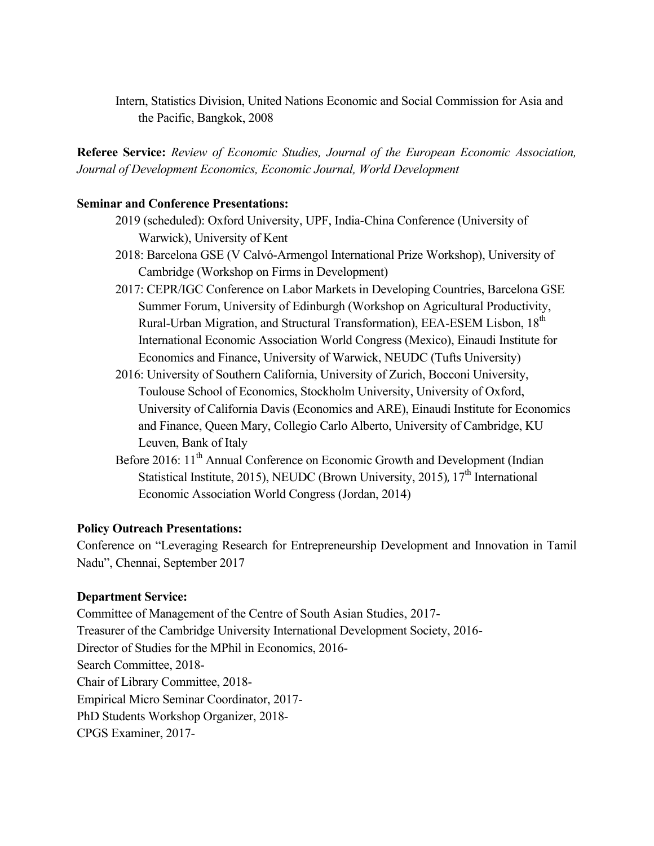Intern, Statistics Division, United Nations Economic and Social Commission for Asia and the Pacific, Bangkok, 2008

**Referee Service:** *Review of Economic Studies, Journal of the European Economic Association, Journal of Development Economics, Economic Journal, World Development*

### **Seminar and Conference Presentations:**

- 2019 (scheduled): Oxford University, UPF, India-China Conference (University of Warwick), University of Kent
- 2018: Barcelona GSE (V Calvó-Armengol International Prize Workshop), University of Cambridge (Workshop on Firms in Development)
- 2017: CEPR/IGC Conference on Labor Markets in Developing Countries, Barcelona GSE Summer Forum, University of Edinburgh (Workshop on Agricultural Productivity, Rural-Urban Migration, and Structural Transformation), EEA-ESEM Lisbon, 18th International Economic Association World Congress (Mexico), Einaudi Institute for Economics and Finance, University of Warwick, NEUDC (Tufts University)
- 2016: University of Southern California, University of Zurich, Bocconi University, Toulouse School of Economics, Stockholm University, University of Oxford, University of California Davis (Economics and ARE), Einaudi Institute for Economics and Finance, Queen Mary, Collegio Carlo Alberto, University of Cambridge, KU Leuven, Bank of Italy
- Before 2016: 11<sup>th</sup> Annual Conference on Economic Growth and Development (Indian Statistical Institute, 2015), NEUDC (Brown University, 2015),  $17<sup>th</sup>$  International Economic Association World Congress (Jordan, 2014)

## **Policy Outreach Presentations:**

Conference on "Leveraging Research for Entrepreneurship Development and Innovation in Tamil Nadu", Chennai, September 2017

### **Department Service:**

Committee of Management of the Centre of South Asian Studies, 2017- Treasurer of the Cambridge University International Development Society, 2016- Director of Studies for the MPhil in Economics, 2016- Search Committee, 2018- Chair of Library Committee, 2018- Empirical Micro Seminar Coordinator, 2017- PhD Students Workshop Organizer, 2018- CPGS Examiner, 2017